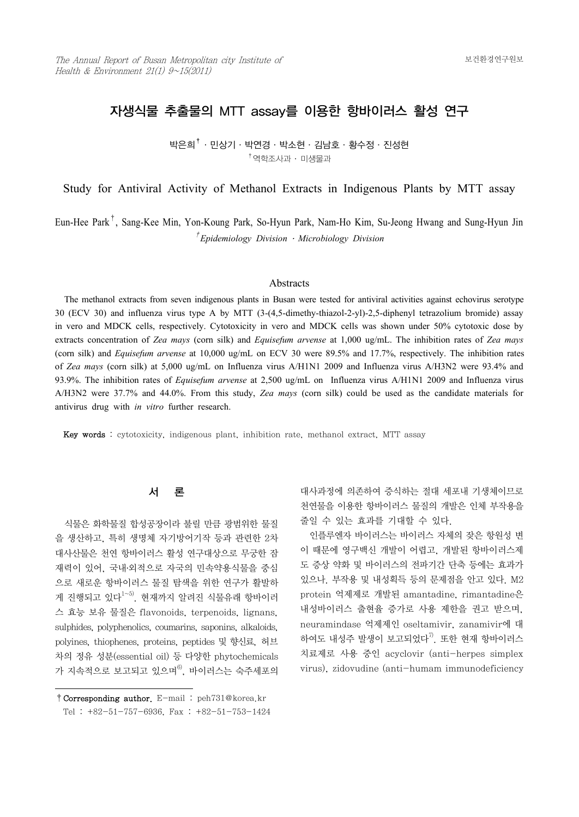# 자생식물 추출물의 MTT assay를 이용한 항바이러스 활성 연구

박은희†·민상기·박연경·박소현·김남호·황수정·진성현  $^{\dagger}$ 역학조사과 ㆍ 미생물과

Study for Antiviral Activity of Methanol Extracts in Indigenous Plants by MTT assay

Eun-Hee Park† , Sang-Kee Min, Yon-Koung Park, So-Hyun Park, Nam-Ho Kim, Su-Jeong Hwang and Sung-Hyun Jin † *Epidemiology Division* ․ *Microbiology Division*

#### **Abstracts**

 The methanol extracts from seven indigenous plants in Busan were tested for antiviral activities against echovirus serotype 30 (ECV 30) and influenza virus type A by MTT (3-(4,5-dimethy-thiazol-2-yl)-2,5-diphenyl tetrazolium bromide) assay in vero and MDCK cells, respectively. Cytotoxicity in vero and MDCK cells was shown under 50% cytotoxic dose by extracts concentration of *Zea mays* (corn silk) and *Equisefum arvense* at 1,000 ug/mL. The inhibition rates of *Zea mays* (corn silk) and *Equisefum arvense* at 10,000 ug/mL on ECV 30 were 89.5% and 17.7%, respectively. The inhibition rates of *Zea mays* (corn silk) at 5,000 ug/mL on Influenza virus A/H1N1 2009 and Influenza virus A/H3N2 were 93.4% and 93.9%. The inhibition rates of *Equisefum arvense* at 2,500 ug/mL on Influenza virus A/H1N1 2009 and Influenza virus A/H3N2 were 37.7% and 44.0%. From this study, *Zea mays* (corn silk) could be used as the candidate materials for antivirus drug with *in vitro* further research.

Key words : cytotoxicity, indigenous plant, inhibition rate, methanol extract, MTT assay

## 서 론

 식물은 화학물질 합성공장이라 불릴 만큼 광범위한 물질 을 생산하고, 특히 생명체 자기방어기작 등과 관련한 2차 대사산물은 천연 항바이러스 활성 연구대상으로 무궁한 잠 재력이 있어, 국내․외적으로 자국의 민속약용식물을 중심 으로 새로운 항바이러스 물질 탐색을 위한 연구가 활발하 게 진행되고 있다 $1 - 5$ , 현재까지 알려진 식물유래 항바이러 스 효능 보유 물질은 flavonoids, terpenoids, lignans, sulphides, polyphenolics, coumarins, saponins, alkaloids, polyines, thiophenes, proteins, peptides 및 향신료, 허브 차의 정유 성분(essential oil) 등 다양한 phytochemicals 가 지속적으로 보고되고 있으며 $^{6}$ , 바이러스는 숙주세포의

대사과정에 의존하여 증식하는 절대 세포내 기생체이므로 천연물을 이용한 항바이러스 물질의 개발은 인체 부작용을 줄일 수 있는 효과를 기대할 수 있다.

 인플루엔자 바이러스는 바이러스 자체의 잦은 항원성 변 이 때문에 영구백신 개발이 어렵고, 개발된 항바이러스제 도 증상 약화 및 바이러스의 전파기간 단축 등에는 효과가 있으나. 부작용 및 내성획득 등의 문제점을 안고 있다. M2 protein 억제제로 개발된 amantadine, rimantadine은 neuramindase 억제제인 oseltamivir, zanamivir에 대 하여도 내성주 발생이 보고되었다 $^{70}$ . 또한 현재 항바이러스 치료제로 사용 중인 acyclovir (anti-herpes simplex virus), zidovudine (anti-humam immunodeficiency

<sup>†</sup>Corresponding author. E-mail : peh731@korea.kr Tel : +82-51-757-6936, Fax : +82-51-753-1424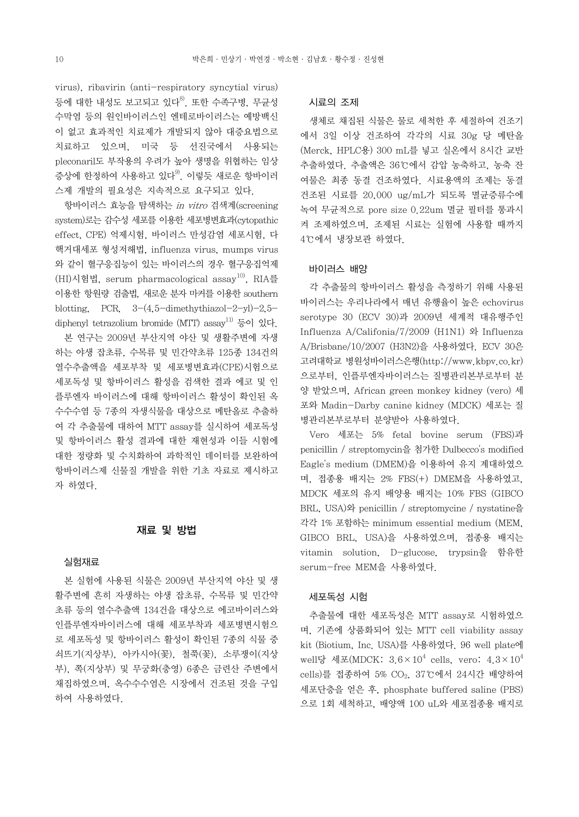virus), ribavirin (anti-respiratory syncytial virus) 등에 대한 내성도 보고되고 있다<sup>8)</sup>. 또한 수족구병, 무균성 수막염 등의 원인바이러스인 엔테로바이러스는 예방백신 이 없고 효과적인 치료제가 개발되지 않아 대증요법으로 치료하고 있으며, 미국 등 선진국에서 사용되는 pleconaril도 부작용의 우려가 높아 생명을 위협하는 임상 증상에 한정하여 사용하고 있다<sup>9)</sup>. 이렇듯 새로운 항바이러 스제 개발의 필요성은 지속적으로 요구되고 있다.

 항바이러스 효능을 탐색하는 in vitro 검색계(screening system)로는 감수성 세포를 이용한 세포병변효과(cytopathic effect, CPE) 억제시험, 바이러스 만성감염 세포시험, 다 핵거대세포 형성저해법, influenza virus, mumps virus 와 같이 혈구응집능이 있는 바이러스의 경우 혈구응집억제 (HI)시험법, serum pharmacological assay<sup>10)</sup>, RIA를 이용한 항원량 검출법, 새로운 분자 마커를 이용한 southern blotting, PCR,  $3-(4.5-\text{dimethylthiazol}-2-\text{yl})-2.5-\text{N}$ diphenyl tetrazolium bromide (MTT) assay<sup>11)</sup> 등이 있다.

 본 연구는 2009년 부산지역 야산 및 생활주변에 자생 하는 야생 잡초류, 수목류 및 민간약초류 125종 134건의 열수추출액을 세포부착 및 세포병변효과(CPE)시험으로 세포독성 및 항바이러스 활성을 검색한 결과 에코 및 인 플루엔자 바이러스에 대해 항바이러스 활성이 확인된 옥 수수수염 등 7종의 자생식물을 대상으로 메탄올로 추출하 여 각 추출물에 대하여 MTT assay를 실시하여 세포독성 및 항바이러스 활성 결과에 대한 재현성과 이들 시험에 대한 정량화 및 수치화하여 과학적인 데이터를 보완하여 항바이러스제 신물질 개발을 위한 기초 자료로 제시하고 자 하였다.

## 재료 및 방법

#### 실험재료

 본 실험에 사용된 식물은 2009년 부산지역 야산 및 생 활주변에 흔히 자생하는 야생 잡초류, 수목류 및 민간약 초류 등의 열수추출액 134건을 대상으로 에코바이러스와 인플루엔자바이러스에 대해 세포부착과 세포병변시험으 로 세포독성 및 항바이러스 활성이 확인된 7종의 식물 중 쇠뜨기(지상부), 아카시아(꽃), 철쭉(꽃), 소루쟁이(지상 부), 쪽(지상부) 및 무궁화(충영) 6종은 금련산 주변에서 채집하였으며, 옥수수수염은 시장에서 건조된 것을 구입 하여 사용하였다.

#### 시료의 조제

 생체로 채집된 식물은 물로 세척한 후 세절하여 건조기 에서 3일 이상 건조하여 각각의 시료 30g 당 메탄올 (Merck, HPLC용) 300 mL를 넣고 실온에서 8시간 교반 추출하였다. 추출액은 36℃에서 감압 농축하고, 농축 잔 여물은 최종 동결 건조하였다. 시료용액의 조제는 동결 건조된 시료를 20,000 ug/mL가 되도록 멸균증류수에 녹여 무균적으로 pore size 0.22um 멸균 필터를 통과시 켜 조제하였으며, 조제된 시료는 실험에 사용할 때까지 4℃에서 냉장보관 하였다.

## 바이러스 배양

 각 추출물의 항바이러스 활성을 측정하기 위해 사용된 바이러스는 우리나라에서 매년 유행율이 높은 echovirus serotype 30 (ECV 30)과 2009년 세계적 대유행주인 Influenza A/Califonia/7/2009 (H1N1) 와 Influenza A/Brisbane/10/2007 (H3N2)을 사용하였다. ECV 30은 고려대학교 병원성바이러스은행(http://www.kbpv.co.kr) 으로부터, 인플루엔자바이러스는 질병관리본부로부터 분 양 받았으며, African green monkey kidney (vero) 세 포와 Madin-Darby canine kidney (MDCK) 세포는 질 병관리본부로부터 분양받아 사용하였다.

 Vero 세포는 5% fetal bovine serum (FBS)과 penicillin / streptomycin을 첨가한 Dulbecco's modified Eagle's medium (DMEM)을 이용하여 유지 계대하였으 MDCK 세포의 유지 배양용 배지는 10% FBS (GIBCO BRL, USA)와 penicillin / streptomycine / nystatine을 각각 1% 포함하는 minimum essential medium (MEM, GIBCO BRL, USA)을 사용하였으며, 접종용 배지는 vitamin solution, D-glucose, trypsin을 함유한 serum-free MEM을 사용하였다.

#### 세포독성 시험

 추출물에 대한 세포독성은 MTT assay로 시험하였으 며, 기존에 상품화되어 있는 MTT cell viability assay kit (Biotium, Inc. USA)를 사용하였다. 96 well plate에 well당 세포(MDCK:  $3.6\times10^4$  cells, vero:  $4.3\times10^4$ cells)를 접종하여 5% CO2, 37℃에서 24시간 배양하여 세포단층을 얻은 후, phosphate buffered saline (PBS) 으로 1회 세척하고, 배양액 100 uL와 세포접종용 배지로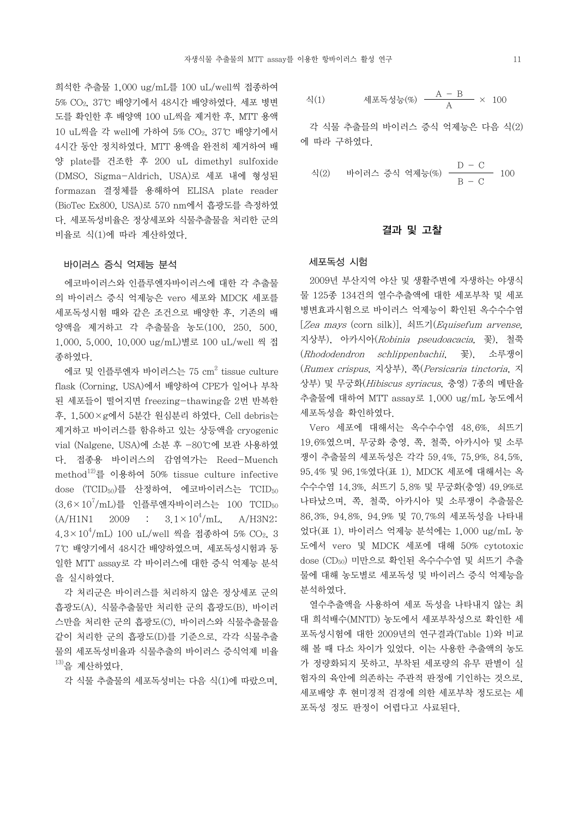희석한 추출물 1,000 ug/mL를 100 uL/well씩 접종하여 5% CO2, 37℃ 배양기에서 48시간 배양하였다. 세포 병변 도를 확인한 후 배양액 100 uL씩을 제거한 후, MTT 용액 10 uL씩을 각 well에 가하여 5% CO2, 37℃ 배양기에서 4시간 동안 정치하였다. MTT 용액을 완전히 제거하여 배 양 plate를 건조한 후 200 uL dimethyl sulfoxide (DMSO, Sigma-Aldrich, USA)로 세포 내에 형성된 formazan 결정체를 용해하여 ELISA plate reader (BioTec Ex800, USA)로 570 nm에서 흡광도를 측정하였 다. 세포독성비율은 정상세포와 식물추출물을 처리한 군의 비율로 식(1)에 따라 계산하였다.

## 바이러스 증식 억제능 분석

 에코바이러스와 인플루엔자바이러스에 대한 각 추출물 의 바이러스 증식 억제능은 vero 세포와 MDCK 세포를 세포독성시험 때와 같은 조건으로 배양한 후, 기존의 배 양액을 제거하고 각 추출물을 농도(100, 250, 500, 1,000, 5,000, 10,000 ug/mL)별로 100 uL/well 씩 접 종하였다.

에코 및 인플루엔자 바이러스는 75  $\rm cm^2$  tissue culture  $\qquad$   $\rm ($ . flask (Corning, USA)에서 배양하여 CPE가 일어나 부착 된 세포들이 떨어지면 freezing-thawing을 2번 반복한 후, 1,500×g에서 5분간 원심분리 하였다. Cell debris는 제거하고 바이러스를 함유하고 있는 상등액을 cryogenic vial (Nalgene, USA)에 소분 후 -80℃에 보관 사용하였 다. 접종용 바이러스의 감염역가는 Reed-Muench method<sup>12)</sup>를 이용하여 50% tissue culture infective dose (TCID<sub>50</sub>)를 산정하여, 에코바이러스는 TCID<sub>50</sub>  $(3.6\times10^7/\mathrm{mL})$ 를 인플루엔자바이러스는 100 TCID50  $(A/H1N1 \t 2009 \t : \t 3.1 \times 10^4/mL$  $A/H3N2$ :  $4.3\times10^4/\mathrm{mL}$ ) 100 uL/well 씩을 접종하여 5% CO $_2$ , 3  $\qquad$  었디 7℃ 배양기에서 48시간 배양하였으며, 세포독성시험과 동 일한 MTT assay로 각 바이러스에 대한 증식 억제능 분석 을 실시하였다.

 각 처리군은 바이러스를 처리하지 않은 정상세포 군의 흡광도(A), 식물추출물만 처리한 군의 흡광도(B), 바이러 스만을 처리한 군의 흡광도(C), 바이러스와 식물추출물을 같이 처리한 군의 흡광도(D)를 기준으로, 각각 식물추출 물의 세포독성비율과 식물추출의 바이러스 증식억제 비율  $^{13)}$ 을 계산하였다.

식(1) 
$$
\text{세포독성는}(\%) \quad \frac{A - B}{A} \times 100
$$

 각 식물 추출믈의 바이러스 증식 억제능은 다음 식(2) 에 따라 구하였다.

식(2) 바이러스 중식 악제는(%) 
$$
\frac{D - C}{B - C}
$$
 100

## 결과 및 고찰

#### 세포독성 시험

 2009년 부산지역 야산 및 생활주변에 자생하는 야생식 물 125종 134건의 열수추출액에 대한 세포부착 및 세포 병변효과시험으로 바이러스 억제능이 확인된 옥수수수염  $[Zea$  mays (corn silk)], 쇠뜨기(Equisefum arvense, 지상부), 아카시아(Robinia pseudoacacia, 꽃), 철쭉 (Rhododendron schlippenbachii, 꽃), 소루쟁이 (Rumex crispus, 지상부), 쪽(Persicaria tinctoria, 지 상부) 및 무궁화(Hibiscus syriacus, 충영) 7종의 메탄올 추출물에 대하여 MTT assay로 1,000 ug/mL 농도에서 세포독성을 확인하였다.

 Vero 세포에 대해서는 옥수수수염 48.6%, 쇠뜨기 19.6%였으며, 무궁화 충영, 쪽, 철쭉, 아카시아 및 소루 쟁이 추출물의 세포독성은 각각 59.4%, 75.9%, 84.5%, 95.4% 및 96.1%였다(표 1). MDCK 세포에 대해서는 옥 수수수염 14.3%, 쇠뜨기 5.8% 및 무궁화(충영) 49.9%로 나타났으며, 쪽, 철쭉, 아카시아 및 소루쟁이 추출물은 86.3%, 94.8%, 94.9% 및 70.7%의 세포독성을 나타내 었다(표 1). 바이러스 억제능 분석에는 1,000 ug/mL 농 도에서 vero 및 MDCK 세포에 대해 50% cytotoxic dose (CD<sub>50</sub>) 미만으로 확인된 옥수수수염 및 쇠뜨기 추출 물에 대해 농도별로 세포독성 및 바이러스 증식 억제능을 분석하였다.

각 식물 추출물의 세포독성비는 다음 식(1)에 따랐으며, 함자의 육안에 의존하는 주관적 판정에 기인하는 것으로, 열수추출액을 사용하여 세포 독성을 나타내지 않는 최 대 희석배수(MNTD) 농도에서 세포부착성으로 확인한 세 포독성시험에 대한 2009년의 연구결과(Table 1)와 비교 해 볼 때 다소 차이가 있었다. 이는 사용한 추출액의 농도 가 정량화되지 못하고, 부착된 세포량의 유무 판별이 실 세포배양 후 현미경적 검경에 의한 세포부착 정도로는 세 포독성 정도 판정이 어렵다고 사료된다.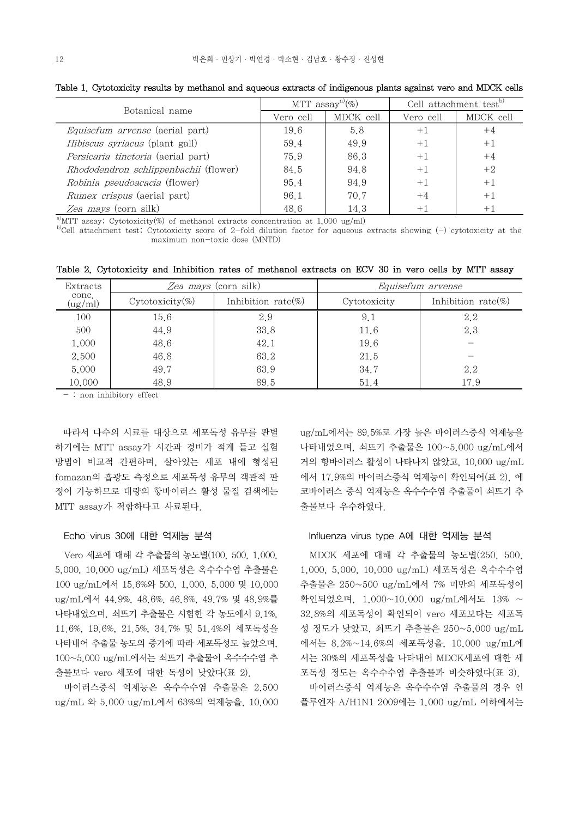|  | e 1. Cytotoxicity result |  |
|--|--------------------------|--|

| Botanical name                         | MTT $assay^{a}(\%)$ |           | Cell attachment test <sup>0</sup> |                              |
|----------------------------------------|---------------------|-----------|-----------------------------------|------------------------------|
|                                        | Vero cell           | MDCK cell | Vero cell                         | MDCK cell                    |
| <i>Equisefum arvense</i> (aerial part) | 19.6                | 5.8       | $+1$                              | $+4$                         |
| <i>Hibiscus syriacus</i> (plant gall)  | 59.4                | 49.9      | $+1$                              | $+1$                         |
| Persicaria tinctoria (aerial part)     | 75.9                | 86.3      | $+1$                              | $+4$                         |
| Rhododendron schlippenbachii (flower)  | 84.5                | 94.8      | $+1$                              | $+2$                         |
| Robinia pseudoacacia (flower)          | 95.4                | 94.9      | $+1$                              | $+1$                         |
| <i>Rumex crispus</i> (aerial part)     | 96.1                | 70.7      | $+4$                              | $+1$                         |
| Zea mays (corn silk)                   | 48.6                | 14.3      |                                   | $+$ $\overline{\phantom{a}}$ |

Table 1. Cytotoxicity results by methanol and aqueous extracts of indigenous plants against vero and MDCK cells

<sup>a)</sup>MTT assay; Cytotoxicity(%) of methanol extracts concentration at 1,000 ug/ml)<br><sup>b)</sup>Cell attachment test; Cytotoxicity score of 2-fold dilution factor for aqueous extracts showing (-) cytotoxicity at the maximum non-toxic dose (MNTD)

| Extracts         | Zea mays (corn silk) |                        | Equisefum arvense |                        |  |
|------------------|----------------------|------------------------|-------------------|------------------------|--|
| conc.<br>(ug/ml) | $Cytotoxicity(\%)$   | Inhibition rate $(\%)$ | Cytotoxicity      | Inhibition rate $(\%)$ |  |
| 100              | 15.6                 | 2.9                    | 9.1               | 2.2                    |  |
| 500              | 44.9                 | 33.8                   | 11.6              | 2.3                    |  |
| 1,000            | 48.6                 | 42.1                   | 19.6              |                        |  |
| 2,500            | 46.8                 | 63.2                   | 21.5              |                        |  |
| 5,000            | 49.7                 | 63.9                   | 34.7              | 2.2                    |  |
| 10,000           | 48.9                 | 89.5                   | 51.4              | 17.9                   |  |

Table 2. Cytotoxicity and Inhibition rates of methanol extracts on ECV 30 in vero cells by MTT assay

- : non inhibitory effect

 따라서 다수의 시료를 대상으로 세포독성 유무를 판별 하기에는 MTT assay가 시간과 경비가 적게 들고 실험 방법이 비교적 간편하며, 살아있는 세포 내에 형성된 fomazan의 흡광도 측정으로 세포독성 유무의 객관적 판 정이 가능하므로 대량의 항바이러스 활성 물질 검색에는 MTT assay가 적합하다고 사료된다.

## Echo virus 30에 대한 억제능 분석

Vero 세포에 대해 각 추출물의 농도별(100, 500, 1,000, 5,000, 10,000 ug/mL) 세포독성은 옥수수수염 추출물은 100 ug/mL에서 15.6%와 500, 1,000, 5,000 및 10,000 ug/mL에서 44.9%, 48.6%, 46.8%, 49.7% 및 48.9%를 확인되었으며, 1,000~10,000 ug/mL에서도 13% ~ 나타내었으며, 쇠뜨기 추출물은 시험한 각 농도에서 9.1%, 11.6%, 19.6%, 21.5%, 34.7% 및 51.4%의 세포독성을 나타내어 추출물 농도의 증가에 따라 세포독성도 높았으며,<br>100~5,000 ug/mL에서는 쇠뜨기 추출물이 옥수수수염 추 출물보다 vero 세포에 대한 독성이 낮았다(표 2).

 바이러스증식 억제능은 옥수수수염 추출물은 2,500 ug/mL 와 5.000 ug/mL에서 63%의 억제능을, 10,000 ug/mL에서는 89.5%로 가장 높은 바이러스증식 억제능을 나타내었으며, 쇠뜨기 추출물은 100~5,000 ug/mL에서 거의 항바이러스 활성이 나타나지 않았고, 10,000 ug/mL 에서 17.9%의 바이러스증식 억제능이 확인되어(표 2), 에 코바이러스 증식 억제능은 옥수수수염 추출물이 쇠뜨기 추 출물보다 우수하였다.

## Influenza virus type A에 대한 억제능 분석

 MDCK 세포에 대해 각 추출물의 농도별(250, 500, 1,000, 5,000, 10,000 ug/mL) 세포독성은 옥수수수염 추출물은 250~500 ug/mL에서 7% 미만의 세포독성이 32,8%의 세포독성이 확인되어 vero 세포보다는 세포독 성 정도가 낮았고, 쇠뜨기 추출물은 250~5,000 ug/mL 에서는 8.2%~14.6%의 세포독성을, 10,000 ug/mL에 서는 30%의 세포독성을 나타내어 MDCK세포에 대한 세 포독성 정도는 옥수수수염 추출물과 비슷하였다(표 3).

 바이러스증식 억제능은 옥수수수염 추출물의 경우 인 플루엔자 A/H1N1 2009에는 1,000 ug/mL 이하에서는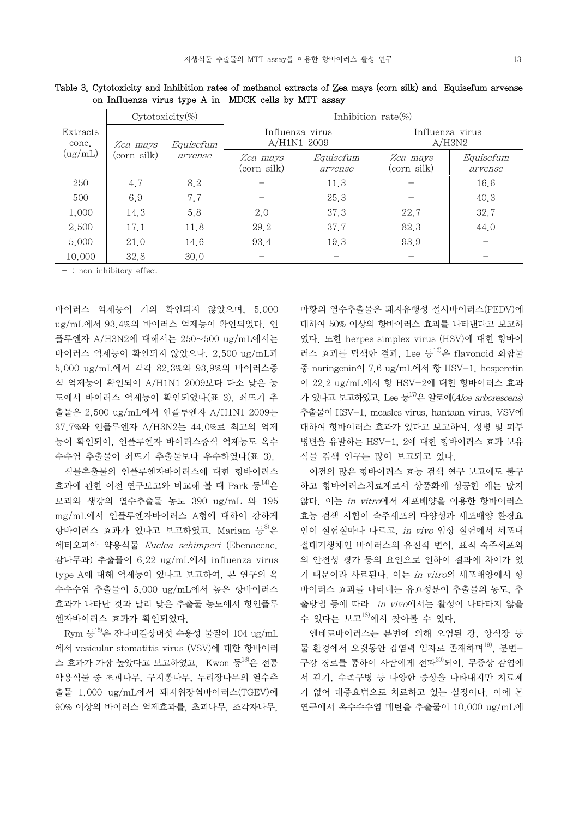|                   | $Cytotoxicity(\%)$ |                      | Inhibition rate $(\%)$         |                      |                           |                      |
|-------------------|--------------------|----------------------|--------------------------------|----------------------|---------------------------|----------------------|
| Extracts<br>conc. | Zea mays           | Equisefum<br>arvense | Influenza virus<br>A/H1N1 2009 |                      | Influenza virus<br>A/H3N2 |                      |
| (ug/mL)           | (corn silk)        |                      | Zea mays<br>(corn silk)        | Equisefum<br>arvense | Zea mays<br>(corn silk)   | Equisefum<br>arvense |
| 250               | 4.7                | 8.2                  |                                | 11.3                 |                           | 16.6                 |
| 500               | 6.9                | 7.7                  |                                | 25.3                 |                           | 40.3                 |
| 1,000             | 14.3               | 5.8                  | 2.0                            | 37.3                 | 22.7                      | 32.7                 |
| 2,500             | 17.1               | 11.8                 | 29.2                           | 37.7                 | 82.3                      | 44.0                 |
| 5,000             | 21.0               | 14.6                 | 93.4                           | 19.3                 | 93.9                      |                      |
| 10,000            | 32.8               | 30,0                 |                                |                      |                           |                      |

Table 3. Cytotoxicity and Inhibition rates of methanol extracts of Zea mays (corn silk) and Equisefum arvense on Influenza virus type A in MDCK cells by MTT assay

- : non inhibitory effect

바이러스 억제능이 거의 확인되지 않았으며, 5,000 ug/mL에서 93.4%의 바이러스 억제능이 확인되었다. 인 플루엔자 A/H3N2에 대해서는 250~500 ug/mL에서는 바이러스 억제능이 확인되지 않았으나, 2,500 ug/mL과 5,000 ug/mL에서 각각 82.3%와 93.9%의 바이러스증 식 억제능이 확인되어 A/H1N1 2009보다 다소 낮은 농 도에서 바이러스 억제능이 확인되었다(표 3). 쇠뜨기 추 출물은 2,500 ug/mL에서 인플루엔자 A/H1N1 2009는 37.7%와 인플루엔자 A/H3N2는 44.0%로 최고의 억제 능이 확인되어, 인플루엔자 바이러스증식 억제능도 옥수 수수염 추출물이 쇠뜨기 추출물보다 우수하였다(표 3).

 식물추출물의 인플루엔자바이러스에 대한 항바이러스 효과에 관한 이전 연구보고와 비교해 볼 때 Park 등<sup>14)</sup>은 하고 † 모과와 생강의 열수추출물 농도 390 ug/mL 와 195 mg/mL에서 인플루엔자바이러스 A형에 대하여 강하게 항바이러스 효과가 있다고 보고하였고, Mariam 등<sup>8)</sup>은 인이 실 에티오피아 약용식물 Euclea schimperi (Ebenaceae, 감나무과) 추출물이 6.22 ug/mL에서 influenza virus type A에 대해 억제능이 있다고 보고하여, 본 연구의 옥 수수수염 추출물이 5,000 ug/mL에서 높은 항바이러스 효과가 나타난 것과 달리 낮은 추출물 농도에서 항인플루 엔자바이러스 효과가 확인되었다.

 Rym 등 15)은 잔나비걸상버섯 수용성 물질이 104 ug/mL 에서 vesicular stomatitis virus (VSV)에 대한 항바이러 스 효과가 가장 높았다고 보고하였고, Kwon 등<sup>13)</sup>은 전통 구강 경로를<br>약용식물 중 초피나무, 구지뽕나무, 누리장나무의 열수추 서 감기, *<* 출물 1,000 ug/mL에서 돼지위장염바이러스(TGEV)에 90% 이상의 바이러스 억제효과를, 초피나무, 조각자나무,

마황의 열수추출물은 돼지유행성 설사바이러스(PEDV)에 대하여 50% 이상의 항바이러스 효과를 나타낸다고 보고하 였다. 또한 herpes simplex virus (HSV)에 대한 항바이 러스 효과를 탐색한 결과, Lee 등 16)은 flavonoid 화합물 중 naringenin이 7.6 ug/mL에서 항 HSV-1, hesperetin 이 22.2 ug/mL에서 항 HSV-2에 대한 항바이러스 효과 가 있다고 보고하였고, Lee 등<sup>17)</sup>은 알로에(*Aloe arborescens*) 추출물이 HSV-1, measles virus, hantaan virus, VSV에 대하여 항바이러스 효과가 있다고 보고하여, 성병 및 피부 병변을 유발하는 HSV-1, 2에 대한 항바이러스 효과 보유 식물 검색 연구는 많이 보고되고 있다.

 이전의 많은 항바이러스 효능 검색 연구 보고에도 불구 하고 항바이러스치료제로서 상품화에 성공한 예는 많지 않다. 이는 in vitro에서 세포배양을 이용한 항바이러스 효능 검색 시험이 숙주세포의 다양성과 세포배양 환경요 인이 실험실마다 다르고, in vivo 임상 실험에서 세포내 절대기생체인 바이러스의 유전적 변이, 표적 숙주세포와 의 안전성 평가 등의 요인으로 인하여 결과에 차이가 있 기 때문이라 사료된다. 이는 in vitro의 세포배양에서 항 바이러스 효과를 나타내는 유효성분이 추출물의 농도, 추 출방법 등에 따라 in vivo에서는 활성이 나타타지 않을 수 있다는 보고18)에서 찾아볼 수 있다.

 엔테로바이러스는 분변에 의해 오염된 강, 양식장 등 물 환경에서 오랫동안 감염력 입자로 존재하며<sup>19)</sup>, 분변-구강 경로를 통하여 사람에게 전파20)되어, 무증상 감염에 서 감기, 수족구병 등 다양한 증상을 나타내지만 치료제 가 없어 대증요법으로 치료하고 있는 실정이다. 이에 본 연구에서 옥수수수염 메탄올 추출물이 10,000 ug/mL에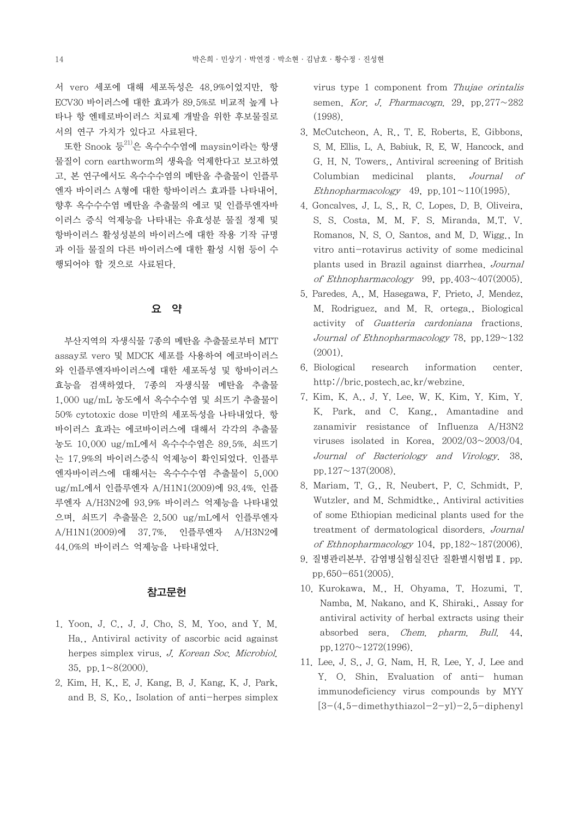서 vero 세포에 대해 세포독성은 48.9%이었지만, 항 ECV30 바이러스에 대한 효과가 89.5%로 비교적 높게 나 타나 항 엔테로바이러스 치료제 개발을 위한 후보물질로 서의 연구 가치가 있다고 사료된다.

또한 Snook 등<sup>21)</sup>은 옥수수수염에 maysin이라는 항생 S. M. l 물질이 corn earthworm의 생육을 억제한다고 보고하였 고, 본 연구에서도 옥수수수염의 메탄올 추출물이 인플루 엔자 바이러스 A형에 대한 항바이러스 효과를 나타내어,<br>향후 옥수수수염 메탄올 추출물의 에코 및 인플루엔자바 이러스 증식 억제능을 나타내는 유효성분 물질 정제 및 항바이러스 활성성분의 바이러스에 대한 작용 기작 규명 과 이들 물질의 다른 바이러스에 대한 활성 시험 등이 수 행되어야 할 것으로 사료된다.

# 요 약

 부산지역의 자생식물 7종의 메탄올 추출물로부터 MTT assay로 vero 및 MDCK 세포를 사용하여 에코바이러스 와 인플루엔자바이러스에 대한 세포독성 및 항바이러스 효능을 검색하였다. 7종의 자생식물 메탄올 추출물 1,000 ug/mL 농도에서 옥수수수염 및 쇠뜨기 추출물이 50% cytotoxic dose 미만의 세포독성을 나타내었다. 항 바이러스 효과는 에코바이러스에 대해서 각각의 추출물 농도 10,000 ug/mL에서 옥수수수염은 89.5%, 쇠뜨기 는 17.9%의 바이러스증식 억제능이 확인되었다. 인플루 엔자바이러스에 대해서는 옥수수수염 추출물이 5,000 ug/mL에서 인플루엔자 A/H1N1(2009)에 93.4%, 인플 루엔자 A/H3N2에 93.9% 바이러스 억제능을 나타내었 으며, 쇠뜨기 추출물은 2,500 ug/mL에서 인플루엔자 A/H1N1(2009)에 37.7%, 인플루엔자 A/H3N2에 44.0%의 바이러스 억제능을 나타내었다.

## 참고문헌

- 1. Yoon, J. C., J. J. Cho, S. M. Yoo, and Y. M. Ha., Antiviral activity of ascorbic acid against herpes simplex virus. J. Korean Soc. Microbiol. 35, pp.  $1 \sim 8(2000)$ .
- 2. Kim, H. K., E. J. Kang, B. J. Kang, K. J. Park, and B. S. Ko., Isolation of anti-herpes simplex

virus type 1 component from Thujae orintalis semen. Kor. J. Pharmacogn. 29. pp.  $277 \sim 282$ (1998).

- 3. McCutcheon, A. R., T. E. Roberts, E. Gibbons, S. M. Ellis, L. A. Babiuk, R. E. W. Hancock, and G. H. N. Towers., Antiviral screening of British Columbian medicinal plants. Journal of Ethnopharmacology 49, pp.  $101 \sim 110(1995)$ .
- 4. Goncalves, J. L. S., R. C. Lopes, D. B. Oliveira, S. S. Costa, M. M. F. S. Miranda, M.T. V. Romanos, N. S. O. Santos, and M. D. Wigg., In vitro anti-rotavirus activity of some medicinal plants used in Brazil against diarrhea. Journal of Ethnopharmacology 99, pp.  $403 \sim 407(2005)$ .
- 5. Paredes. A., M. Hasegawa, F. Prieto, J. Mendez, M. Rodriguez, and M. R. ortega., Biological activity of Guatteria cardoniana fractions. Journal of Ethnopharmacology 78, pp.  $129~132$ (2001).
- 6. Biological research information center. http://bric.postech.ac.kr/webzine.
- 7. Kim, K. A., J. Y. Lee, W. K. Kim, Y. Kim, Y. K. Park, and C. Kang., Amantadine and zanamivir resistance of Influenza A/H3N2 viruses isolated in Korea, 2002/03~2003/04. Journal of Bacteriology and Virology. 38, pp.127~137(2008).
- 8. Mariam, T. G., R. Neubert, P. C. Schmidt, P. Wutzler, and M. Schmidtke., Antiviral activities of some Ethiopian medicinal plants used for the treatment of dermatological disorders. Journal of Ethnopharmacology 104, pp.  $182 \sim 187(2006)$ .
- 9. 질병관리본부. 감염병실험실진단 질환별시험법Ⅱ. pp. pp.650-651(2005).
- 10. Kurokawa, M., H. Ohyama, T. Hozumi, T. Namba, M. Nakano, and K. Shiraki., Assay for antiviral activity of herbal extracts using their absorbed sera. Chem. pharm. Bull. 44, pp.1270~1272(1996).
- 11. Lee, J. S., J. G. Nam, H. R. Lee, Y. J. Lee and Y. O. Shin, Evaluation of anti- human immunodeficiency virus compounds by MYY  $[3-(4,5-dimethylthiazol-2-yl)-2,5-diphenyl]$